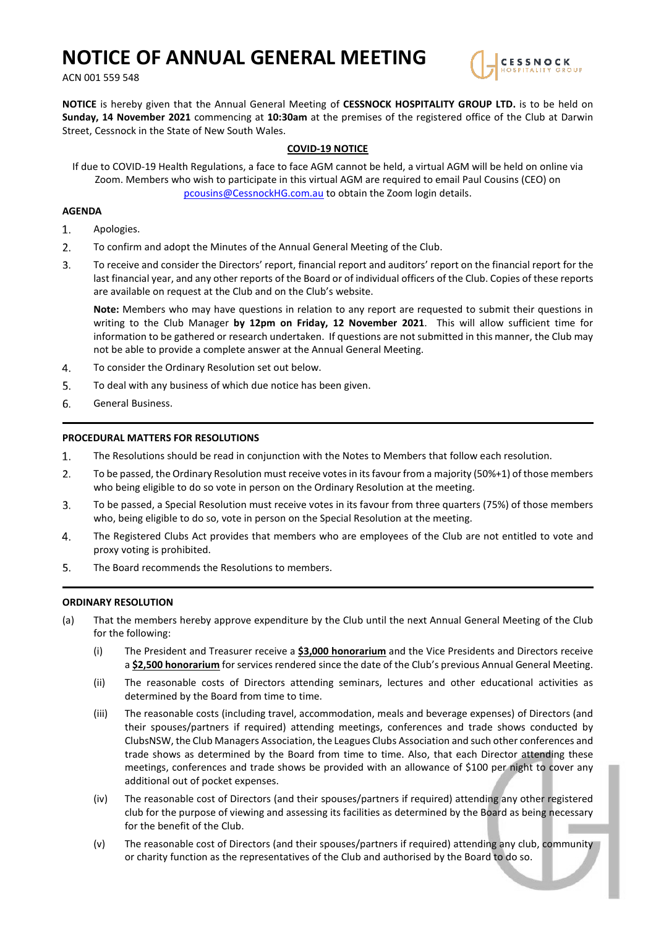# **NOTICE OF ANNUAL GENERAL MEETING**

ACN 001 559 548



**NOTICE** is hereby given that the Annual General Meeting of **CESSNOCK HOSPITALITY GROUP LTD.** is to be held on **Sunday, 14 November 2021** commencing at **10:30am** at the premises of the registered office of the Club at Darwin Street, Cessnock in the State of New South Wales.

# **COVID-19 NOTICE**

If due to COVID-19 Health Regulations, a face to face AGM cannot be held, a virtual AGM will be held on online via Zoom. Members who wish to participate in this virtual AGM are required to email Paul Cousins (CEO) on [pcousins@CessnockHG.com.au](mailto:pcousins@CessnockHG.com.au) to obtain the Zoom login details.

## **AGENDA**

- $\mathbf{1}$ . Apologies.
- $2.$ To confirm and adopt the Minutes of the Annual General Meeting of the Club.
- $3.$ To receive and consider the Directors' report, financial report and auditors' report on the financial report for the last financial year, and any other reports of the Board or of individual officers of the Club. Copies of these reports are available on request at the Club and on the Club's website.

**Note:** Members who may have questions in relation to any report are requested to submit their questions in writing to the Club Manager **by 12pm on Friday, 12 November 2021**. This will allow sufficient time for information to be gathered or research undertaken. If questions are not submitted in this manner, the Club may not be able to provide a complete answer at the Annual General Meeting.

- 4. To consider the Ordinary Resolution set out below.
- 5. To deal with any business of which due notice has been given.
- 6. General Business.

### **PROCEDURAL MATTERS FOR RESOLUTIONS**

- 1. The Resolutions should be read in conjunction with the Notes to Members that follow each resolution.
- $2.$ To be passed, the Ordinary Resolution must receive votes in its favour from a majority (50%+1) of those members who being eligible to do so vote in person on the Ordinary Resolution at the meeting.
- $3.$ To be passed, a Special Resolution must receive votes in its favour from three quarters (75%) of those members who, being eligible to do so, vote in person on the Special Resolution at the meeting.
- 4. The Registered Clubs Act provides that members who are employees of the Club are not entitled to vote and proxy voting is prohibited.
- 5. The Board recommends the Resolutions to members.

#### **ORDINARY RESOLUTION**

- (a) That the members hereby approve expenditure by the Club until the next Annual General Meeting of the Club for the following:
	- (i) The President and Treasurer receive a **\$3,000 honorarium** and the Vice Presidents and Directors receive a **\$2,500 honorarium** for services rendered since the date of the Club's previous Annual General Meeting.
	- (ii) The reasonable costs of Directors attending seminars, lectures and other educational activities as determined by the Board from time to time.
	- (iii) The reasonable costs (including travel, accommodation, meals and beverage expenses) of Directors (and their spouses/partners if required) attending meetings, conferences and trade shows conducted by ClubsNSW, the Club Managers Association, the Leagues Clubs Association and such other conferences and trade shows as determined by the Board from time to time. Also, that each Director attending these meetings, conferences and trade shows be provided with an allowance of \$100 per night to cover any additional out of pocket expenses.
	- (iv) The reasonable cost of Directors (and their spouses/partners if required) attending any other registered club for the purpose of viewing and assessing its facilities as determined by the Board as being necessary for the benefit of the Club.
	- (v) The reasonable cost of Directors (and their spouses/partners if required) attending any club, community or charity function as the representatives of the Club and authorised by the Board to do so.